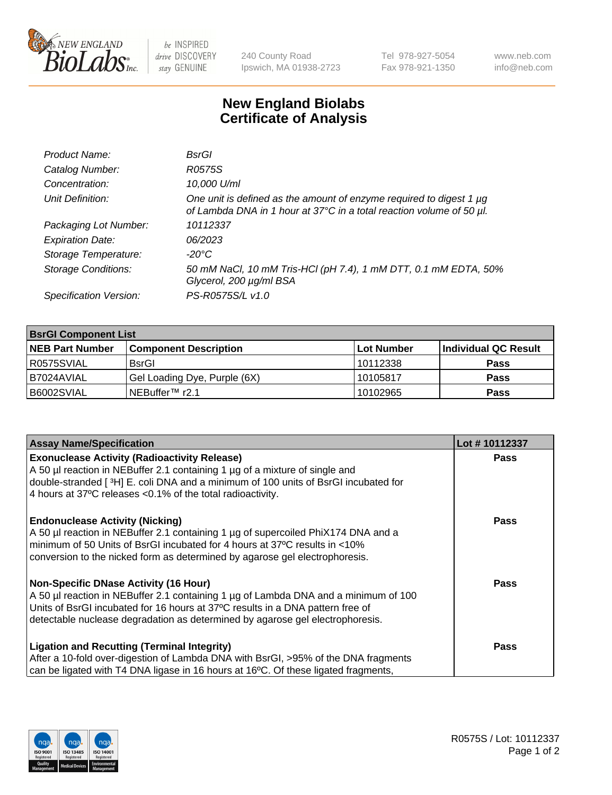

be INSPIRED drive DISCOVERY stay GENUINE

240 County Road Ipswich, MA 01938-2723 Tel 978-927-5054 Fax 978-921-1350 www.neb.com info@neb.com

## **New England Biolabs Certificate of Analysis**

| Product Name:              | BsrGl                                                                                                                                       |
|----------------------------|---------------------------------------------------------------------------------------------------------------------------------------------|
| Catalog Number:            | R0575S                                                                                                                                      |
| Concentration:             | 10,000 U/ml                                                                                                                                 |
| Unit Definition:           | One unit is defined as the amount of enzyme required to digest 1 µg<br>of Lambda DNA in 1 hour at 37°C in a total reaction volume of 50 µl. |
| Packaging Lot Number:      | 10112337                                                                                                                                    |
| <b>Expiration Date:</b>    | 06/2023                                                                                                                                     |
| Storage Temperature:       | -20°C                                                                                                                                       |
| <b>Storage Conditions:</b> | 50 mM NaCl, 10 mM Tris-HCl (pH 7.4), 1 mM DTT, 0.1 mM EDTA, 50%<br>Glycerol, 200 µg/ml BSA                                                  |
| Specification Version:     | PS-R0575S/L v1.0                                                                                                                            |

| <b>BsrGI Component List</b> |                              |            |                      |  |  |
|-----------------------------|------------------------------|------------|----------------------|--|--|
| <b>NEB Part Number</b>      | <b>Component Description</b> | Lot Number | Individual QC Result |  |  |
| I R0575SVIAL                | <b>BsrGI</b>                 | 10112338   | <b>Pass</b>          |  |  |
| I B7024AVIAL                | Gel Loading Dye, Purple (6X) | 10105817   | <b>Pass</b>          |  |  |
| B6002SVIAL                  | INEBuffer™ r2.1              | 10102965   | <b>Pass</b>          |  |  |

| <b>Assay Name/Specification</b>                                                                                                                                                                                                                                                                        | Lot #10112337 |
|--------------------------------------------------------------------------------------------------------------------------------------------------------------------------------------------------------------------------------------------------------------------------------------------------------|---------------|
| <b>Exonuclease Activity (Radioactivity Release)</b><br>A 50 µl reaction in NEBuffer 2.1 containing 1 µg of a mixture of single and<br>double-stranded [ <sup>3</sup> H] E. coli DNA and a minimum of 100 units of BsrGI incubated for<br>4 hours at 37°C releases <0.1% of the total radioactivity.    | <b>Pass</b>   |
| <b>Endonuclease Activity (Nicking)</b><br>A 50 µl reaction in NEBuffer 2.1 containing 1 µg of supercoiled PhiX174 DNA and a<br>minimum of 50 Units of BsrGI incubated for 4 hours at 37°C results in <10%<br>conversion to the nicked form as determined by agarose gel electrophoresis.               | Pass          |
| <b>Non-Specific DNase Activity (16 Hour)</b><br>A 50 µl reaction in NEBuffer 2.1 containing 1 µg of Lambda DNA and a minimum of 100<br>Units of BsrGI incubated for 16 hours at 37°C results in a DNA pattern free of<br>detectable nuclease degradation as determined by agarose gel electrophoresis. | Pass          |
| <b>Ligation and Recutting (Terminal Integrity)</b><br>After a 10-fold over-digestion of Lambda DNA with BsrGI, >95% of the DNA fragments<br>can be ligated with T4 DNA ligase in 16 hours at 16°C. Of these ligated fragments,                                                                         | <b>Pass</b>   |